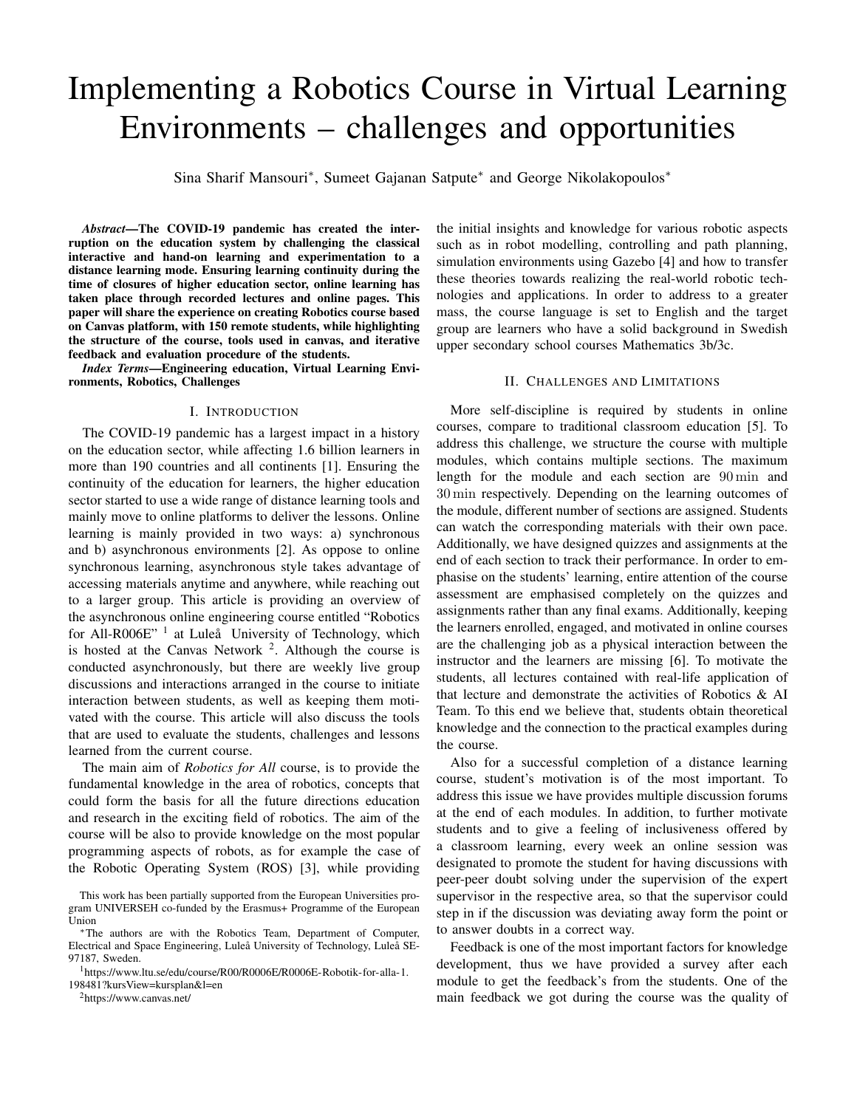# Implementing a Robotics Course in Virtual Learning Environments – challenges and opportunities

Sina Sharif Mansouri<sup>∗</sup> , Sumeet Gajanan Satpute<sup>∗</sup> and George Nikolakopoulos<sup>∗</sup>

*Abstract*—The COVID-19 pandemic has created the interruption on the education system by challenging the classical interactive and hand-on learning and experimentation to a distance learning mode. Ensuring learning continuity during the time of closures of higher education sector, online learning has taken place through recorded lectures and online pages. This paper will share the experience on creating Robotics course based on Canvas platform, with 150 remote students, while highlighting the structure of the course, tools used in canvas, and iterative feedback and evaluation procedure of the students.

*Index Terms*—Engineering education, Virtual Learning Environments, Robotics, Challenges

#### I. INTRODUCTION

The COVID-19 pandemic has a largest impact in a history on the education sector, while affecting 1.6 billion learners in more than 190 countries and all continents [1]. Ensuring the continuity of the education for learners, the higher education sector started to use a wide range of distance learning tools and mainly move to online platforms to deliver the lessons. Online learning is mainly provided in two ways: a) synchronous and b) asynchronous environments [2]. As oppose to online synchronous learning, asynchronous style takes advantage of accessing materials anytime and anywhere, while reaching out to a larger group. This article is providing an overview of the asynchronous online engineering course entitled "Robotics for All-R006E"<sup>1</sup> at Luleå University of Technology, which is hosted at the Canvas Network  $2$ . Although the course is conducted asynchronously, but there are weekly live group discussions and interactions arranged in the course to initiate interaction between students, as well as keeping them motivated with the course. This article will also discuss the tools that are used to evaluate the students, challenges and lessons learned from the current course.

The main aim of *Robotics for All* course, is to provide the fundamental knowledge in the area of robotics, concepts that could form the basis for all the future directions education and research in the exciting field of robotics. The aim of the course will be also to provide knowledge on the most popular programming aspects of robots, as for example the case of the Robotic Operating System (ROS) [3], while providing

<sup>2</sup>https://www.canvas.net/

the initial insights and knowledge for various robotic aspects such as in robot modelling, controlling and path planning, simulation environments using Gazebo [4] and how to transfer these theories towards realizing the real-world robotic technologies and applications. In order to address to a greater mass, the course language is set to English and the target group are learners who have a solid background in Swedish upper secondary school courses Mathematics 3b/3c.

## II. CHALLENGES AND LIMITATIONS

More self-discipline is required by students in online courses, compare to traditional classroom education [5]. To address this challenge, we structure the course with multiple modules, which contains multiple sections. The maximum length for the module and each section are 90 min and 30 min respectively. Depending on the learning outcomes of the module, different number of sections are assigned. Students can watch the corresponding materials with their own pace. Additionally, we have designed quizzes and assignments at the end of each section to track their performance. In order to emphasise on the students' learning, entire attention of the course assessment are emphasised completely on the quizzes and assignments rather than any final exams. Additionally, keeping the learners enrolled, engaged, and motivated in online courses are the challenging job as a physical interaction between the instructor and the learners are missing [6]. To motivate the students, all lectures contained with real-life application of that lecture and demonstrate the activities of Robotics & AI Team. To this end we believe that, students obtain theoretical knowledge and the connection to the practical examples during the course.

Also for a successful completion of a distance learning course, student's motivation is of the most important. To address this issue we have provides multiple discussion forums at the end of each modules. In addition, to further motivate students and to give a feeling of inclusiveness offered by a classroom learning, every week an online session was designated to promote the student for having discussions with peer-peer doubt solving under the supervision of the expert supervisor in the respective area, so that the supervisor could step in if the discussion was deviating away form the point or to answer doubts in a correct way.

Feedback is one of the most important factors for knowledge development, thus we have provided a survey after each module to get the feedback's from the students. One of the main feedback we got during the course was the quality of

This work has been partially supported from the European Universities program UNIVERSEH co-funded by the Erasmus+ Programme of the European Union

<sup>∗</sup>The authors are with the Robotics Team, Department of Computer, Electrical and Space Engineering, Luleå University of Technology, Luleå SE-97187, Sweden.

<sup>&</sup>lt;sup>1</sup>https://www.ltu.se/edu/course/R00/R0006E/R0006E-Robotik-for-alla-1. 198481?kursView=kursplan&l=en